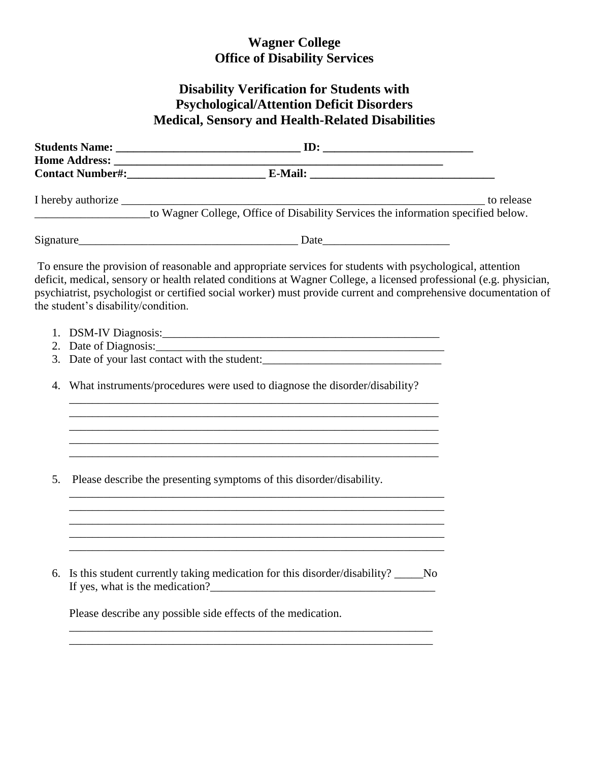## **Wagner College Office of Disability Services**

## **Disability Verification for Students with Psychological/Attention Deficit Disorders Medical, Sensory and Health-Related Disabilities**

|    | the student's disability/condition. | To ensure the provision of reasonable and appropriate services for students with psychological, attention<br>deficit, medical, sensory or health related conditions at Wagner College, a licensed professional (e.g. physician,<br>psychiatrist, psychologist or certified social worker) must provide current and comprehensive documentation of |  |
|----|-------------------------------------|---------------------------------------------------------------------------------------------------------------------------------------------------------------------------------------------------------------------------------------------------------------------------------------------------------------------------------------------------|--|
|    |                                     |                                                                                                                                                                                                                                                                                                                                                   |  |
|    |                                     |                                                                                                                                                                                                                                                                                                                                                   |  |
|    |                                     | 3. Date of your last contact with the student:                                                                                                                                                                                                                                                                                                    |  |
| 4. |                                     | What instruments/procedures were used to diagnose the disorder/disability?                                                                                                                                                                                                                                                                        |  |
|    |                                     |                                                                                                                                                                                                                                                                                                                                                   |  |
| 5. |                                     | Please describe the presenting symptoms of this disorder/disability.                                                                                                                                                                                                                                                                              |  |
|    |                                     |                                                                                                                                                                                                                                                                                                                                                   |  |
|    |                                     | 6. Is this student currently taking medication for this disorder/disability? _____No                                                                                                                                                                                                                                                              |  |
|    |                                     | Please describe any possible side effects of the medication.                                                                                                                                                                                                                                                                                      |  |
|    |                                     |                                                                                                                                                                                                                                                                                                                                                   |  |